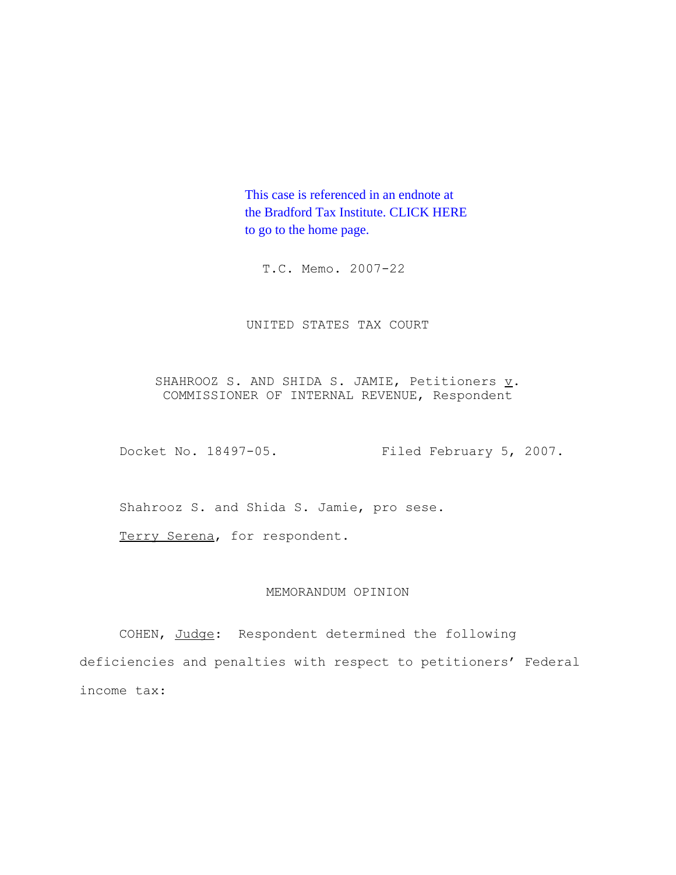This case is referenced in an endnote at [the Bradford Tax Institute. CLICK HERE](http://www.bradfordtaxinstitute.com/) to go to the home page.

T.C. Memo. 2007-22

UNITED STATES TAX COURT

SHAHROOZ S. AND SHIDA S. JAMIE, Petitioners  $\underline{v}$ . COMMISSIONER OF INTERNAL REVENUE, Respondent

Docket No. 18497-05. Filed February 5, 2007.

Shahrooz S. and Shida S. Jamie, pro sese.

Terry Serena, for respondent.

# MEMORANDUM OPINION

COHEN, Judge: Respondent determined the following deficiencies and penalties with respect to petitioners' Federal income tax: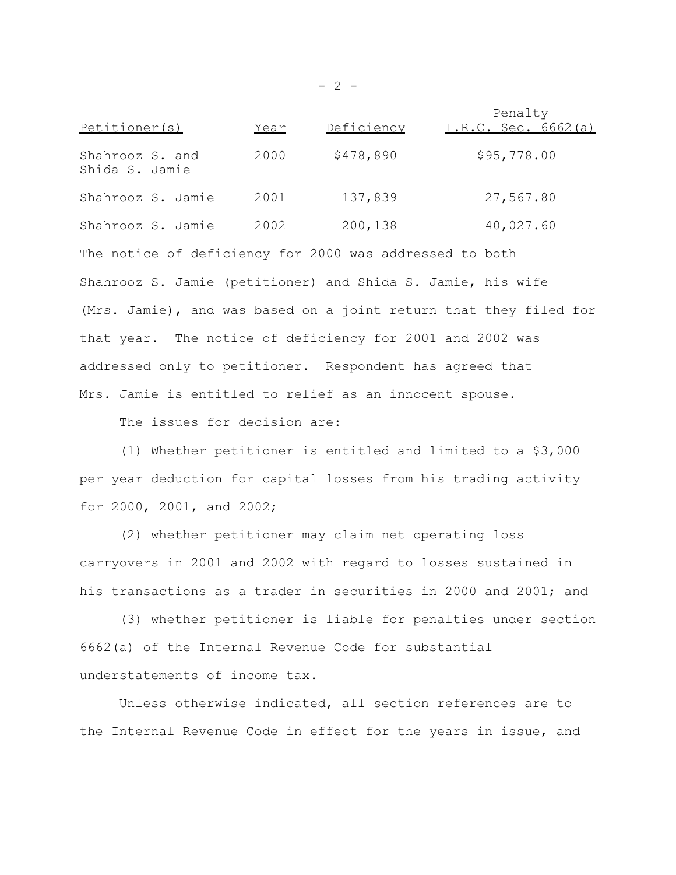Penalty of the set of the set of the set of the set of the set of the set of the set of the set of the set of the set of the set of the set of the set of the set of the set of the set of the set of the set of the set of th Petitioner(s) Year Deficiency I.R.C. Sec. 6662(a) Shahrooz S. and 2000 \$478,890 \$95,778.00 Shida S. Jamie Shahrooz S. Jamie 2001 137,839 27,567.80 Shahrooz S. Jamie 2002 200,138 40,027.60 The notice of deficiency for 2000 was addressed to both Shahrooz S. Jamie (petitioner) and Shida S. Jamie, his wife (Mrs. Jamie), and was based on a joint return that they filed for that year. The notice of deficiency for 2001 and 2002 was addressed only to petitioner. Respondent has agreed that Mrs. Jamie is entitled to relief as an innocent spouse.

The issues for decision are:

(1) Whether petitioner is entitled and limited to a \$3,000 per year deduction for capital losses from his trading activity for 2000, 2001, and 2002;

(2) whether petitioner may claim net operating loss carryovers in 2001 and 2002 with regard to losses sustained in his transactions as a trader in securities in 2000 and 2001; and

(3) whether petitioner is liable for penalties under section 6662(a) of the Internal Revenue Code for substantial understatements of income tax.

Unless otherwise indicated, all section references are to the Internal Revenue Code in effect for the years in issue, and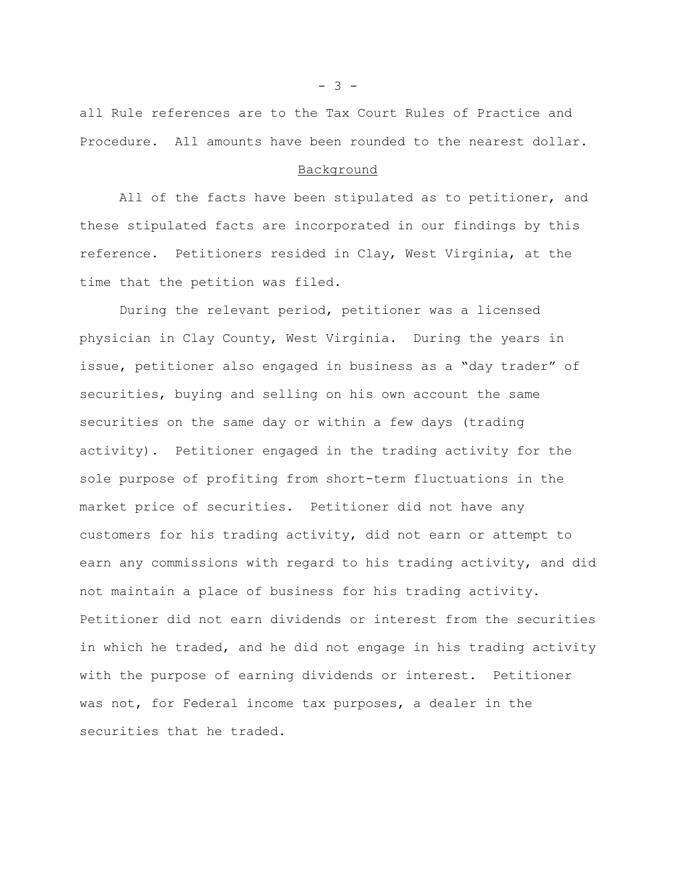all Rule references are to the Tax Court Rules of Practice and Procedure. All amounts have been rounded to the nearest dollar.

## Background

All of the facts have been stipulated as to petitioner, and these stipulated facts are incorporated in our findings by this reference. Petitioners resided in Clay, West Virginia, at the time that the petition was filed.

During the relevant period, petitioner was a licensed physician in Clay County, West Virginia. During the years in issue, petitioner also engaged in business as a "day trader" of securities, buying and selling on his own account the same securities on the same day or within a few days (trading activity). Petitioner engaged in the trading activity for the sole purpose of profiting from short-term fluctuations in the market price of securities. Petitioner did not have any customers for his trading activity, did not earn or attempt to earn any commissions with regard to his trading activity, and did not maintain a place of business for his trading activity. Petitioner did not earn dividends or interest from the securities in which he traded, and he did not engage in his trading activity with the purpose of earning dividends or interest. Petitioner was not, for Federal income tax purposes, a dealer in the securities that he traded.

 $- 3 -$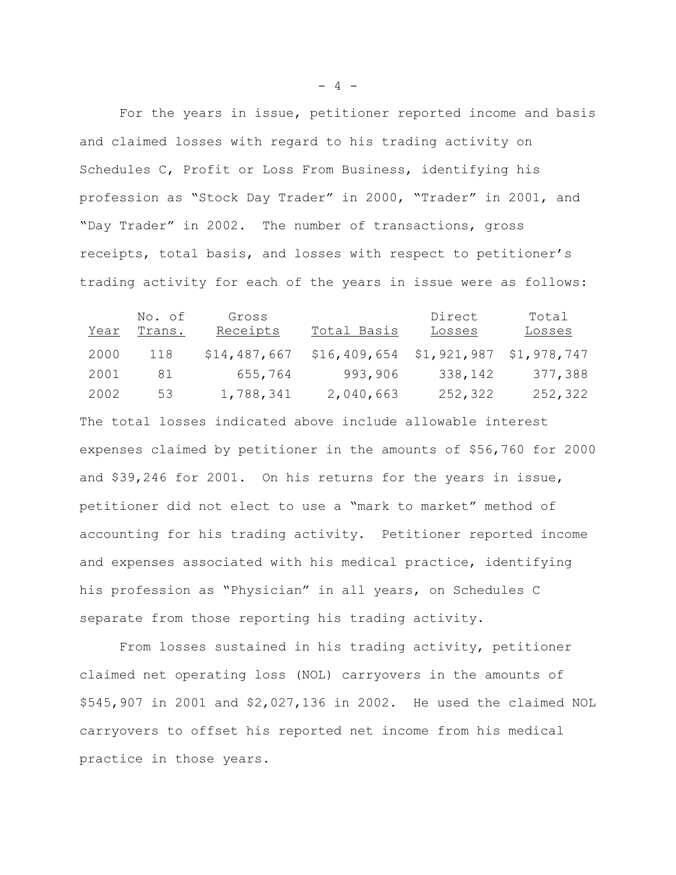For the years in issue, petitioner reported income and basis and claimed losses with regard to his trading activity on Schedules C, Profit or Loss From Business, identifying his profession as "Stock Day Trader" in 2000, "Trader" in 2001, and "Day Trader" in 2002. The number of transactions, gross receipts, total basis, and losses with respect to petitioner's trading activity for each of the years in issue were as follows:

| <u>Year</u> | No. of<br>Trans. | Gross<br>Receipts | Total Basis    | Direct<br><b>Losses</b> | Total<br><u>Losses</u> |
|-------------|------------------|-------------------|----------------|-------------------------|------------------------|
| 2000        | 118              | \$14,487,667      | \$16, 409, 654 | \$1,921,987             | \$1,978,747            |
| 2001        | 81               | 655,764           | 993,906        | 338,142                 | 377,388                |
| 2002        | 53               | 1,788,341         | 2,040,663      | 252,322                 | 252,322                |

The total losses indicated above include allowable interest expenses claimed by petitioner in the amounts of \$56,760 for 2000 and \$39,246 for 2001. On his returns for the years in issue, petitioner did not elect to use a "mark to market" method of accounting for his trading activity. Petitioner reported income and expenses associated with his medical practice, identifying his profession as "Physician" in all years, on Schedules C separate from those reporting his trading activity.

From losses sustained in his trading activity, petitioner claimed net operating loss (NOL) carryovers in the amounts of \$545,907 in 2001 and \$2,027,136 in 2002. He used the claimed NOL carryovers to offset his reported net income from his medical practice in those years.

 $- 4 -$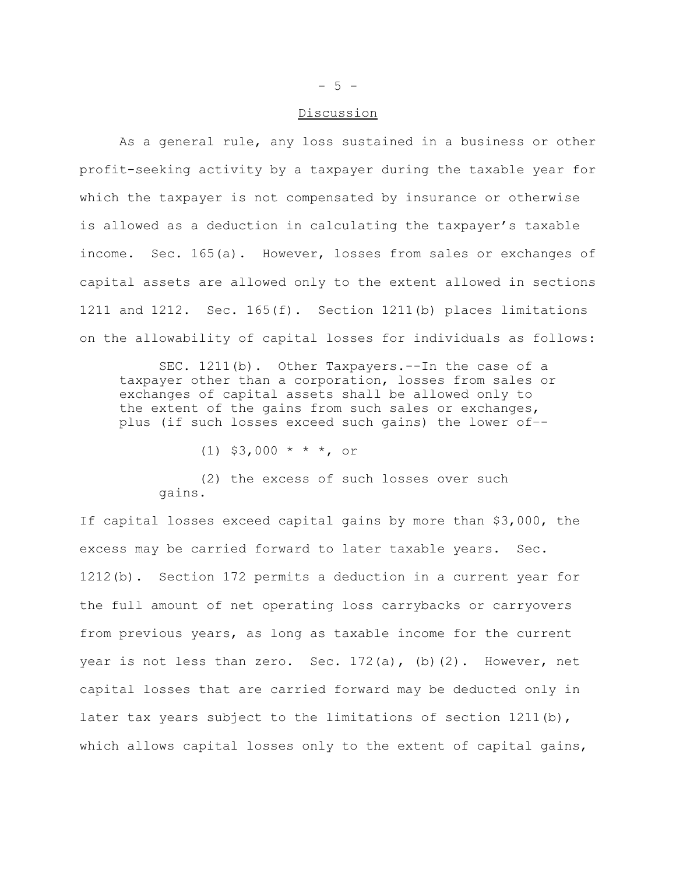#### Discussion

As a general rule, any loss sustained in a business or other profit-seeking activity by a taxpayer during the taxable year for which the taxpayer is not compensated by insurance or otherwise is allowed as a deduction in calculating the taxpayer's taxable income. Sec. 165(a). However, losses from sales or exchanges of capital assets are allowed only to the extent allowed in sections 1211 and 1212. Sec. 165(f). Section 1211(b) places limitations on the allowability of capital losses for individuals as follows:

SEC. 1211(b). Other Taxpayers.--In the case of a taxpayer other than a corporation, losses from sales or exchanges of capital assets shall be allowed only to the extent of the gains from such sales or exchanges, plus (if such losses exceed such gains) the lower of–-

(1) \$3,000 \* \* \*, or

(2) the excess of such losses over such gains.

If capital losses exceed capital gains by more than \$3,000, the excess may be carried forward to later taxable years. Sec. 1212(b). Section 172 permits a deduction in a current year for the full amount of net operating loss carrybacks or carryovers from previous years, as long as taxable income for the current year is not less than zero. Sec.  $172(a)$ , (b)(2). However, net capital losses that are carried forward may be deducted only in later tax years subject to the limitations of section  $1211(b)$ , which allows capital losses only to the extent of capital gains,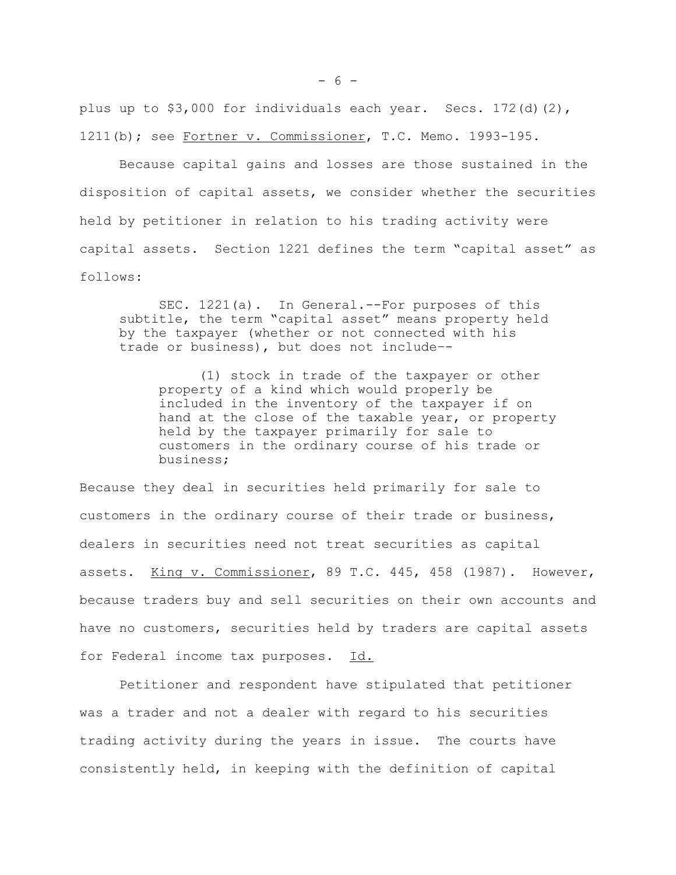plus up to \$3,000 for individuals each year. Secs. 172(d)(2), 1211(b); see Fortner v. Commissioner, T.C. Memo. 1993-195.

Because capital gains and losses are those sustained in the disposition of capital assets, we consider whether the securities held by petitioner in relation to his trading activity were capital assets. Section 1221 defines the term "capital asset" as follows:

SEC. 1221(a). In General.--For purposes of this subtitle, the term "capital asset" means property held by the taxpayer (whether or not connected with his trade or business), but does not include–-

(1) stock in trade of the taxpayer or other property of a kind which would properly be included in the inventory of the taxpayer if on hand at the close of the taxable year, or property held by the taxpayer primarily for sale to customers in the ordinary course of his trade or business;

Because they deal in securities held primarily for sale to customers in the ordinary course of their trade or business, dealers in securities need not treat securities as capital assets. King v. Commissioner, 89 T.C. 445, 458 (1987). However, because traders buy and sell securities on their own accounts and have no customers, securities held by traders are capital assets for Federal income tax purposes. Id.

Petitioner and respondent have stipulated that petitioner was a trader and not a dealer with regard to his securities trading activity during the years in issue. The courts have consistently held, in keeping with the definition of capital

 $- 6 -$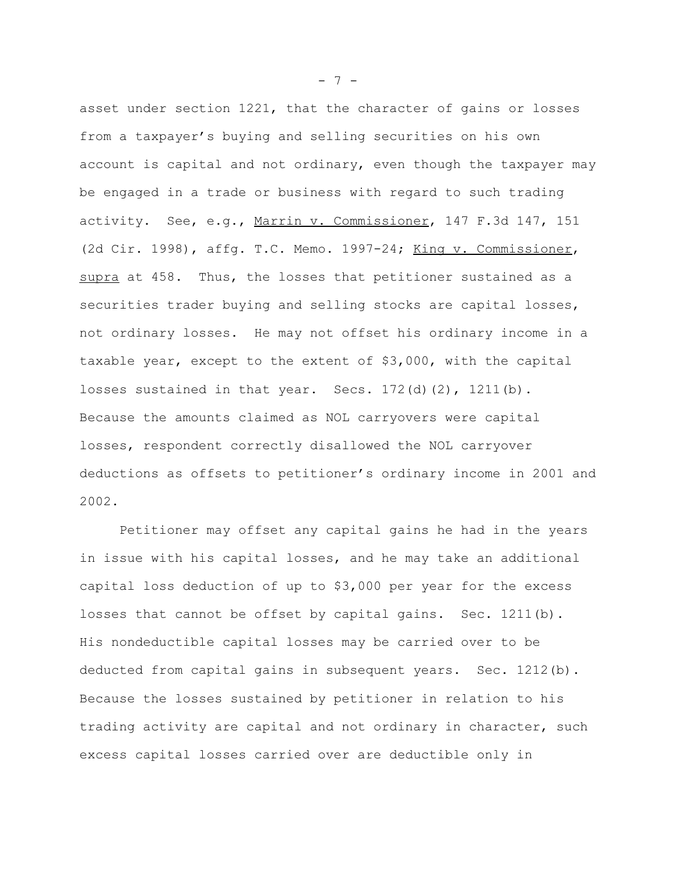asset under section 1221, that the character of gains or losses from a taxpayer's buying and selling securities on his own account is capital and not ordinary, even though the taxpayer may be engaged in a trade or business with regard to such trading activity. See, e.g., Marrin v. Commissioner, 147 F.3d 147, 151 (2d Cir. 1998), affg. T.C. Memo. 1997-24; King v. Commissioner, supra at 458. Thus, the losses that petitioner sustained as a securities trader buying and selling stocks are capital losses, not ordinary losses. He may not offset his ordinary income in a taxable year, except to the extent of \$3,000, with the capital losses sustained in that year. Secs.  $172(d)(2)$ ,  $1211(b)$ . Because the amounts claimed as NOL carryovers were capital losses, respondent correctly disallowed the NOL carryover deductions as offsets to petitioner's ordinary income in 2001 and 2002.

Petitioner may offset any capital gains he had in the years in issue with his capital losses, and he may take an additional capital loss deduction of up to \$3,000 per year for the excess losses that cannot be offset by capital gains. Sec. 1211(b). His nondeductible capital losses may be carried over to be deducted from capital gains in subsequent years. Sec. 1212(b). Because the losses sustained by petitioner in relation to his trading activity are capital and not ordinary in character, such excess capital losses carried over are deductible only in

- 7 -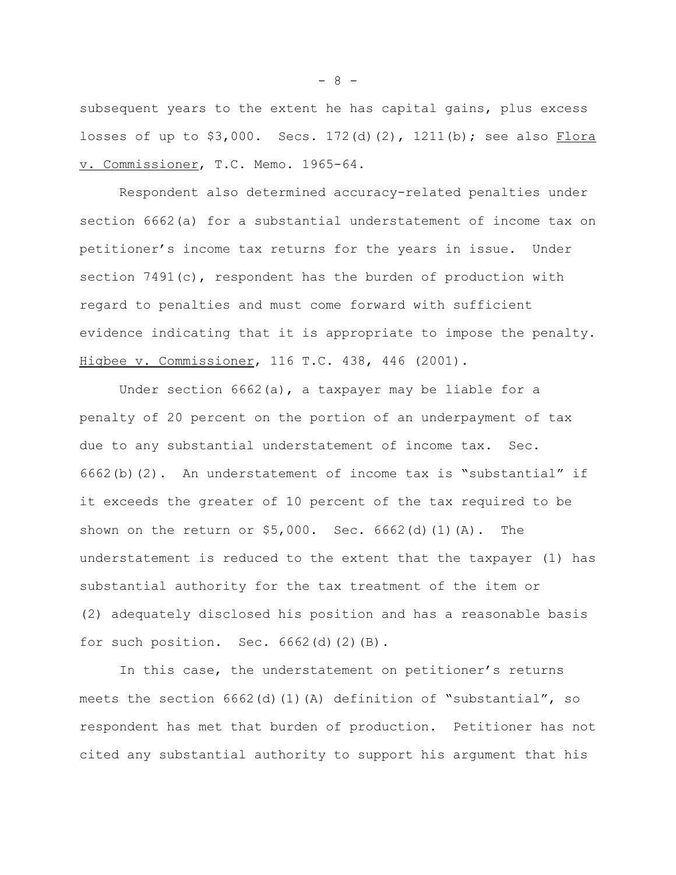subsequent years to the extent he has capital gains, plus excess losses of up to \$3,000. Secs. 172(d)(2), 1211(b); see also Flora v. Commissioner, T.C. Memo. 1965-64.

Respondent also determined accuracy-related penalties under section 6662(a) for a substantial understatement of income tax on petitioner's income tax returns for the years in issue. Under section 7491(c), respondent has the burden of production with regard to penalties and must come forward with sufficient evidence indicating that it is appropriate to impose the penalty. Higbee v. Commissioner, 116 T.C. 438, 446 (2001).

Under section  $6662(a)$ , a taxpayer may be liable for a penalty of 20 percent on the portion of an underpayment of tax due to any substantial understatement of income tax. Sec. 6662(b)(2). An understatement of income tax is "substantial" if it exceeds the greater of 10 percent of the tax required to be shown on the return or  $$5,000$ . Sec.  $6662$ (d)(1)(A). The understatement is reduced to the extent that the taxpayer (1) has substantial authority for the tax treatment of the item or (2) adequately disclosed his position and has a reasonable basis for such position. Sec.  $6662$ (d)(2)(B).

In this case, the understatement on petitioner's returns meets the section 6662(d)(1)(A) definition of "substantial", so respondent has met that burden of production. Petitioner has not cited any substantial authority to support his argument that his

- 8 -